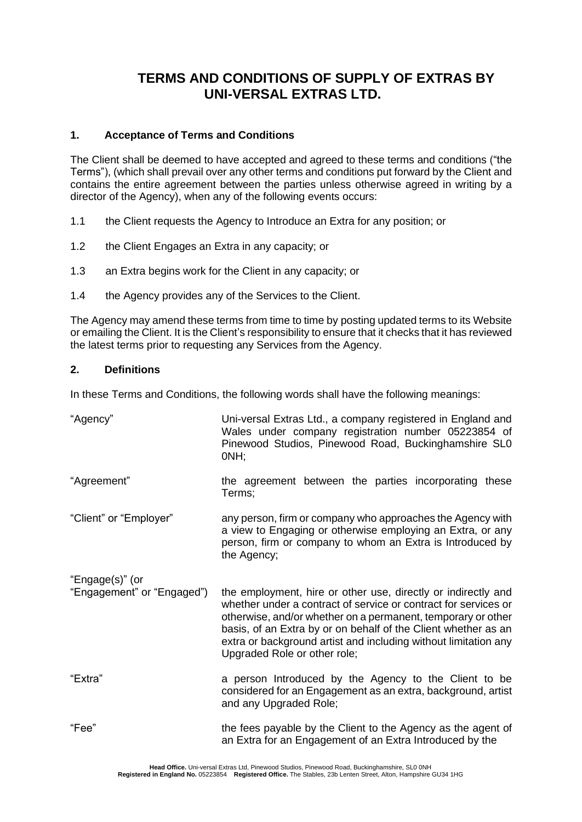# **TERMS AND CONDITIONS OF SUPPLY OF EXTRAS BY UNI-VERSAL EXTRAS LTD.**

# **1. Acceptance of Terms and Conditions**

The Client shall be deemed to have accepted and agreed to these terms and conditions ("the Terms"), (which shall prevail over any other terms and conditions put forward by the Client and contains the entire agreement between the parties unless otherwise agreed in writing by a director of the Agency), when any of the following events occurs:

- 1.1 the Client requests the Agency to Introduce an Extra for any position; or
- 1.2 the Client Engages an Extra in any capacity; or
- 1.3 an Extra begins work for the Client in any capacity; or
- 1.4 the Agency provides any of the Services to the Client.

The Agency may amend these terms from time to time by posting updated terms to its Website or emailing the Client. It is the Client's responsibility to ensure that it checks that it has reviewed the latest terms prior to requesting any Services from the Agency.

# **2. Definitions**

In these Terms and Conditions, the following words shall have the following meanings:

| "Agency"                                      | Uni-versal Extras Ltd., a company registered in England and<br>Wales under company registration number 05223854 of<br>Pinewood Studios, Pinewood Road, Buckinghamshire SL0<br>ONH;                                                                                                                                                                                    |
|-----------------------------------------------|-----------------------------------------------------------------------------------------------------------------------------------------------------------------------------------------------------------------------------------------------------------------------------------------------------------------------------------------------------------------------|
| "Agreement"                                   | the agreement between the parties incorporating these<br>Terms;                                                                                                                                                                                                                                                                                                       |
| "Client" or "Employer"                        | any person, firm or company who approaches the Agency with<br>a view to Engaging or otherwise employing an Extra, or any<br>person, firm or company to whom an Extra is Introduced by<br>the Agency;                                                                                                                                                                  |
| "Engage(s)" (or<br>"Engagement" or "Engaged") | the employment, hire or other use, directly or indirectly and<br>whether under a contract of service or contract for services or<br>otherwise, and/or whether on a permanent, temporary or other<br>basis, of an Extra by or on behalf of the Client whether as an<br>extra or background artist and including without limitation any<br>Upgraded Role or other role; |
| "Extra"                                       | a person Introduced by the Agency to the Client to be<br>considered for an Engagement as an extra, background, artist<br>and any Upgraded Role;                                                                                                                                                                                                                       |
| "Fee"                                         | the fees payable by the Client to the Agency as the agent of<br>an Extra for an Engagement of an Extra Introduced by the                                                                                                                                                                                                                                              |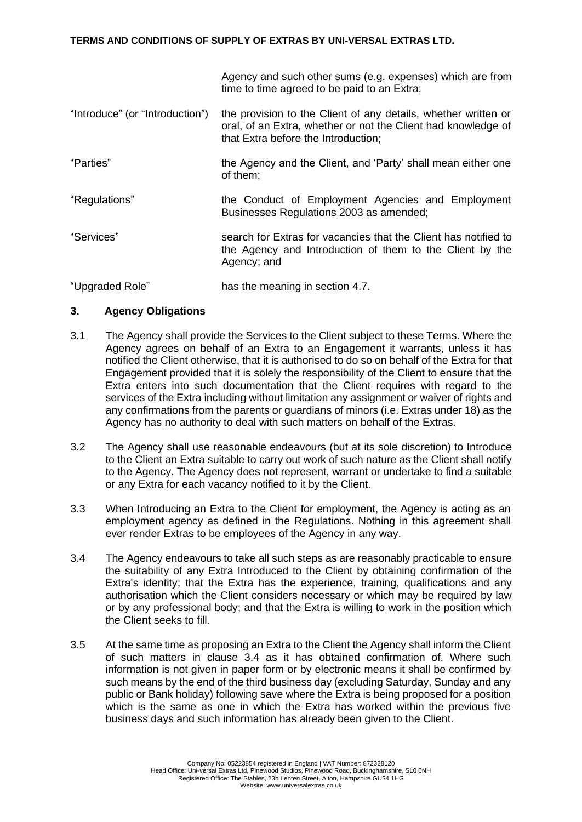## **TERMS AND CONDITIONS OF SUPPLY OF EXTRAS BY UNI-VERSAL EXTRAS LTD.**

Agency and such other sums (e.g. expenses) which are from time to time agreed to be paid to an Extra;

- "Introduce" (or "Introduction") the provision to the Client of any details, whether written or oral, of an Extra, whether or not the Client had knowledge of that Extra before the Introduction;
- "Parties" the Agency and the Client, and 'Party' shall mean either one of them;
- "Regulations" the Conduct of Employment Agencies and Employment Businesses Regulations 2003 as amended;
- "Services" search for Extras for vacancies that the Client has notified to the Agency and Introduction of them to the Client by the Agency; and

"Upgraded Role" has the meaning in section 4.7.

# **3. Agency Obligations**

- 3.1 The Agency shall provide the Services to the Client subject to these Terms. Where the Agency agrees on behalf of an Extra to an Engagement it warrants, unless it has notified the Client otherwise, that it is authorised to do so on behalf of the Extra for that Engagement provided that it is solely the responsibility of the Client to ensure that the Extra enters into such documentation that the Client requires with regard to the services of the Extra including without limitation any assignment or waiver of rights and any confirmations from the parents or guardians of minors (i.e. Extras under 18) as the Agency has no authority to deal with such matters on behalf of the Extras.
- 3.2 The Agency shall use reasonable endeavours (but at its sole discretion) to Introduce to the Client an Extra suitable to carry out work of such nature as the Client shall notify to the Agency. The Agency does not represent, warrant or undertake to find a suitable or any Extra for each vacancy notified to it by the Client.
- 3.3 When Introducing an Extra to the Client for employment, the Agency is acting as an employment agency as defined in the Regulations. Nothing in this agreement shall ever render Extras to be employees of the Agency in any way.
- 3.4 The Agency endeavours to take all such steps as are reasonably practicable to ensure the suitability of any Extra Introduced to the Client by obtaining confirmation of the Extra's identity; that the Extra has the experience, training, qualifications and any authorisation which the Client considers necessary or which may be required by law or by any professional body; and that the Extra is willing to work in the position which the Client seeks to fill.
- 3.5 At the same time as proposing an Extra to the Client the Agency shall inform the Client of such matters in clause 3.4 as it has obtained confirmation of. Where such information is not given in paper form or by electronic means it shall be confirmed by such means by the end of the third business day (excluding Saturday, Sunday and any public or Bank holiday) following save where the Extra is being proposed for a position which is the same as one in which the Extra has worked within the previous five business days and such information has already been given to the Client.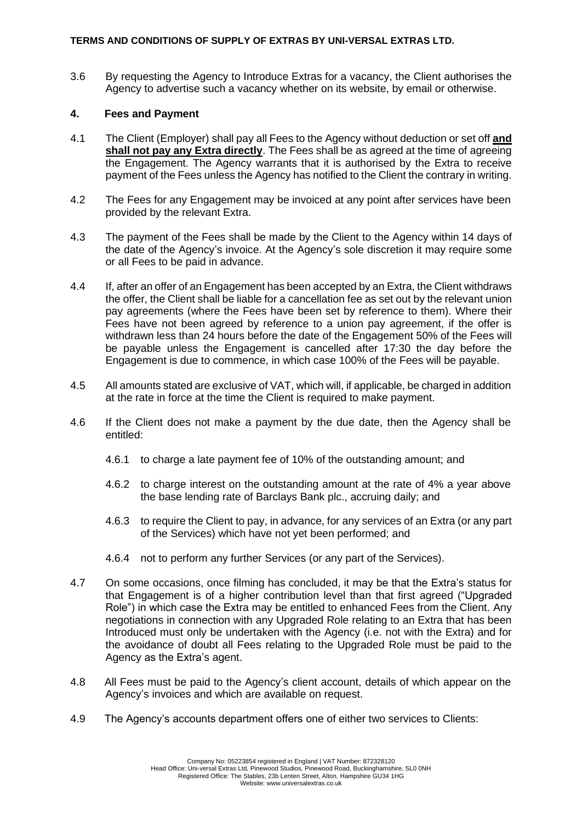## **TERMS AND CONDITIONS OF SUPPLY OF EXTRAS BY UNI-VERSAL EXTRAS LTD.**

3.6 By requesting the Agency to Introduce Extras for a vacancy, the Client authorises the Agency to advertise such a vacancy whether on its website, by email or otherwise.

# **4. Fees and Payment**

- 4.1 The Client (Employer) shall pay all Fees to the Agency without deduction or set off **and shall not pay any Extra directly**. The Fees shall be as agreed at the time of agreeing the Engagement. The Agency warrants that it is authorised by the Extra to receive payment of the Fees unless the Agency has notified to the Client the contrary in writing.
- 4.2 The Fees for any Engagement may be invoiced at any point after services have been provided by the relevant Extra.
- 4.3 The payment of the Fees shall be made by the Client to the Agency within 14 days of the date of the Agency's invoice. At the Agency's sole discretion it may require some or all Fees to be paid in advance.
- 4.4 If, after an offer of an Engagement has been accepted by an Extra, the Client withdraws the offer, the Client shall be liable for a cancellation fee as set out by the relevant union pay agreements (where the Fees have been set by reference to them). Where their Fees have not been agreed by reference to a union pay agreement, if the offer is withdrawn less than 24 hours before the date of the Engagement 50% of the Fees will be payable unless the Engagement is cancelled after 17:30 the day before the Engagement is due to commence, in which case 100% of the Fees will be payable.
- 4.5 All amounts stated are exclusive of VAT, which will, if applicable, be charged in addition at the rate in force at the time the Client is required to make payment.
- 4.6 If the Client does not make a payment by the due date, then the Agency shall be entitled:
	- 4.6.1 to charge a late payment fee of 10% of the outstanding amount; and
	- 4.6.2 to charge interest on the outstanding amount at the rate of 4% a year above the base lending rate of Barclays Bank plc., accruing daily; and
	- 4.6.3 to require the Client to pay, in advance, for any services of an Extra (or any part of the Services) which have not yet been performed; and
	- 4.6.4 not to perform any further Services (or any part of the Services).
- 4.7 On some occasions, once filming has concluded, it may be that the Extra's status for that Engagement is of a higher contribution level than that first agreed ("Upgraded Role") in which case the Extra may be entitled to enhanced Fees from the Client. Any negotiations in connection with any Upgraded Role relating to an Extra that has been Introduced must only be undertaken with the Agency (i.e. not with the Extra) and for the avoidance of doubt all Fees relating to the Upgraded Role must be paid to the Agency as the Extra's agent.
- 4.8 All Fees must be paid to the Agency's client account, details of which appear on the Agency's invoices and which are available on request.
- 4.9 The Agency's accounts department offers one of either two services to Clients: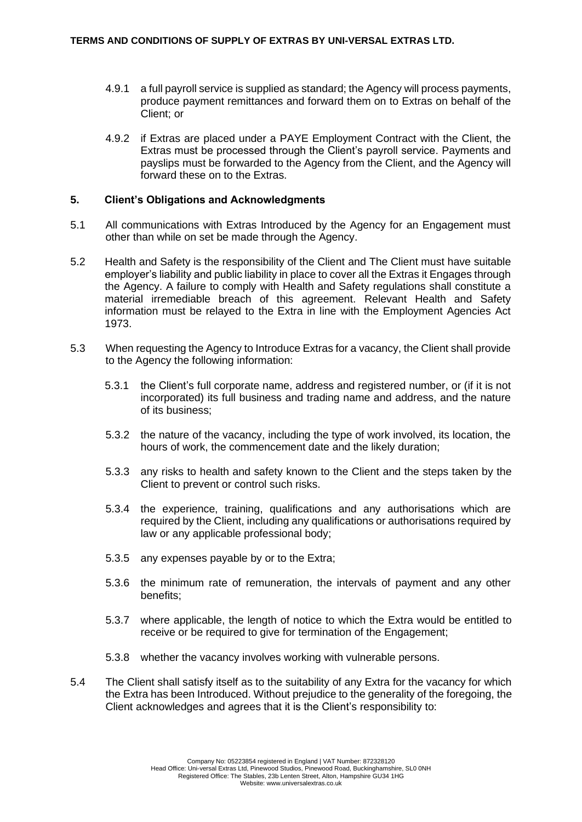- 4.9.1 a full payroll service is supplied as standard; the Agency will process payments, produce payment remittances and forward them on to Extras on behalf of the Client; or
- 4.9.2 if Extras are placed under a PAYE Employment Contract with the Client, the Extras must be processed through the Client's payroll service. Payments and payslips must be forwarded to the Agency from the Client, and the Agency will forward these on to the Extras.

## **5. Client's Obligations and Acknowledgments**

- 5.1 All communications with Extras Introduced by the Agency for an Engagement must other than while on set be made through the Agency.
- 5.2 Health and Safety is the responsibility of the Client and The Client must have suitable employer's liability and public liability in place to cover all the Extras it Engages through the Agency. A failure to comply with Health and Safety regulations shall constitute a material irremediable breach of this agreement. Relevant Health and Safety information must be relayed to the Extra in line with the Employment Agencies Act 1973.
- 5.3 When requesting the Agency to Introduce Extras for a vacancy, the Client shall provide to the Agency the following information:
	- 5.3.1 the Client's full corporate name, address and registered number, or (if it is not incorporated) its full business and trading name and address, and the nature of its business;
	- 5.3.2 the nature of the vacancy, including the type of work involved, its location, the hours of work, the commencement date and the likely duration;
	- 5.3.3 any risks to health and safety known to the Client and the steps taken by the Client to prevent or control such risks.
	- 5.3.4 the experience, training, qualifications and any authorisations which are required by the Client, including any qualifications or authorisations required by law or any applicable professional body;
	- 5.3.5 any expenses payable by or to the Extra;
	- 5.3.6 the minimum rate of remuneration, the intervals of payment and any other benefits;
	- 5.3.7 where applicable, the length of notice to which the Extra would be entitled to receive or be required to give for termination of the Engagement;
	- 5.3.8 whether the vacancy involves working with vulnerable persons.
- 5.4 The Client shall satisfy itself as to the suitability of any Extra for the vacancy for which the Extra has been Introduced. Without prejudice to the generality of the foregoing, the Client acknowledges and agrees that it is the Client's responsibility to: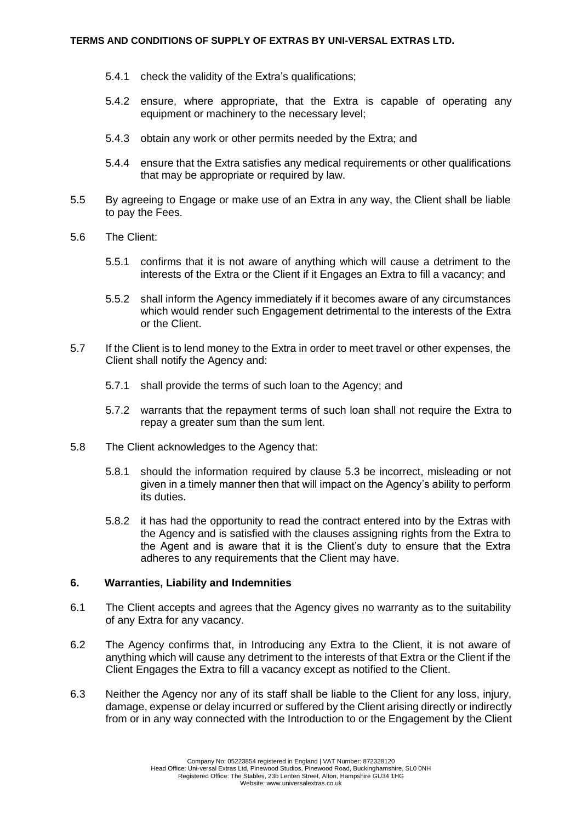- 5.4.1 check the validity of the Extra's qualifications;
- 5.4.2 ensure, where appropriate, that the Extra is capable of operating any equipment or machinery to the necessary level;
- 5.4.3 obtain any work or other permits needed by the Extra; and
- 5.4.4 ensure that the Extra satisfies any medical requirements or other qualifications that may be appropriate or required by law.
- 5.5 By agreeing to Engage or make use of an Extra in any way, the Client shall be liable to pay the Fees.
- 5.6 The Client:
	- 5.5.1 confirms that it is not aware of anything which will cause a detriment to the interests of the Extra or the Client if it Engages an Extra to fill a vacancy; and
	- 5.5.2 shall inform the Agency immediately if it becomes aware of any circumstances which would render such Engagement detrimental to the interests of the Extra or the Client.
- 5.7 If the Client is to lend money to the Extra in order to meet travel or other expenses, the Client shall notify the Agency and:
	- 5.7.1 shall provide the terms of such loan to the Agency; and
	- 5.7.2 warrants that the repayment terms of such loan shall not require the Extra to repay a greater sum than the sum lent.
- 5.8 The Client acknowledges to the Agency that:
	- 5.8.1 should the information required by clause 5.3 be incorrect, misleading or not given in a timely manner then that will impact on the Agency's ability to perform its duties.
	- 5.8.2 it has had the opportunity to read the contract entered into by the Extras with the Agency and is satisfied with the clauses assigning rights from the Extra to the Agent and is aware that it is the Client's duty to ensure that the Extra adheres to any requirements that the Client may have.

# **6. Warranties, Liability and Indemnities**

- 6.1 The Client accepts and agrees that the Agency gives no warranty as to the suitability of any Extra for any vacancy.
- 6.2 The Agency confirms that, in Introducing any Extra to the Client, it is not aware of anything which will cause any detriment to the interests of that Extra or the Client if the Client Engages the Extra to fill a vacancy except as notified to the Client.
- 6.3 Neither the Agency nor any of its staff shall be liable to the Client for any loss, injury, damage, expense or delay incurred or suffered by the Client arising directly or indirectly from or in any way connected with the Introduction to or the Engagement by the Client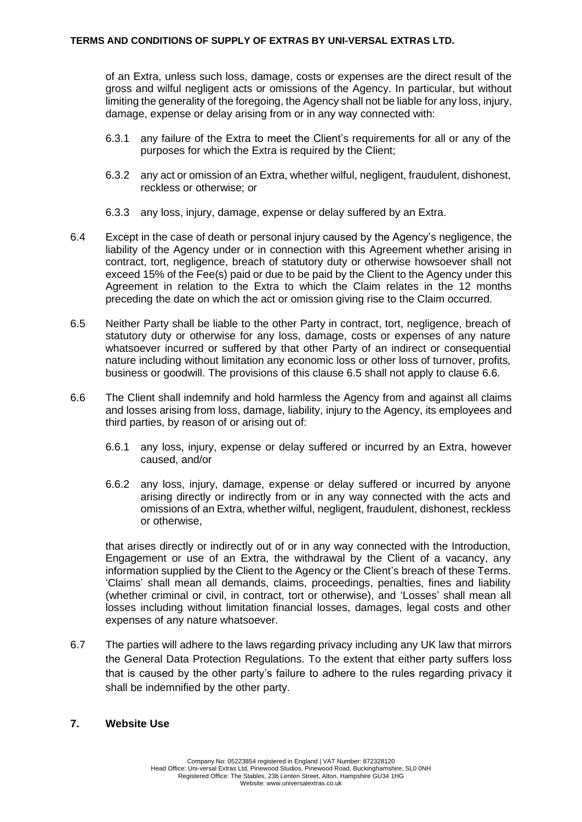of an Extra, unless such loss, damage, costs or expenses are the direct result of the gross and wilful negligent acts or omissions of the Agency. In particular, but without limiting the generality of the foregoing, the Agency shall not be liable for any loss, injury, damage, expense or delay arising from or in any way connected with:

- 6.3.1 any failure of the Extra to meet the Client's requirements for all or any of the purposes for which the Extra is required by the Client;
- 6.3.2 any act or omission of an Extra, whether wilful, negligent, fraudulent, dishonest, reckless or otherwise; or
- 6.3.3 any loss, injury, damage, expense or delay suffered by an Extra.
- 6.4 Except in the case of death or personal injury caused by the Agency's negligence, the liability of the Agency under or in connection with this Agreement whether arising in contract, tort, negligence, breach of statutory duty or otherwise howsoever shall not exceed 15% of the Fee(s) paid or due to be paid by the Client to the Agency under this Agreement in relation to the Extra to which the Claim relates in the 12 months preceding the date on which the act or omission giving rise to the Claim occurred.
- 6.5 Neither Party shall be liable to the other Party in contract, tort, negligence, breach of statutory duty or otherwise for any loss, damage, costs or expenses of any nature whatsoever incurred or suffered by that other Party of an indirect or consequential nature including without limitation any economic loss or other loss of turnover, profits, business or goodwill. The provisions of this clause 6.5 shall not apply to clause 6.6.
- 6.6 The Client shall indemnify and hold harmless the Agency from and against all claims and losses arising from loss, damage, liability, injury to the Agency, its employees and third parties, by reason of or arising out of:
	- 6.6.1 any loss, injury, expense or delay suffered or incurred by an Extra, however caused, and/or
	- 6.6.2 any loss, injury, damage, expense or delay suffered or incurred by anyone arising directly or indirectly from or in any way connected with the acts and omissions of an Extra, whether wilful, negligent, fraudulent, dishonest, reckless or otherwise,

that arises directly or indirectly out of or in any way connected with the Introduction, Engagement or use of an Extra, the withdrawal by the Client of a vacancy, any information supplied by the Client to the Agency or the Client's breach of these Terms. 'Claims' shall mean all demands, claims, proceedings, penalties, fines and liability (whether criminal or civil, in contract, tort or otherwise), and 'Losses' shall mean all losses including without limitation financial losses, damages, legal costs and other expenses of any nature whatsoever.

6.7 The parties will adhere to the laws regarding privacy including any UK law that mirrors the General Data Protection Regulations. To the extent that either party suffers loss that is caused by the other party's failure to adhere to the rules regarding privacy it shall be indemnified by the other party.

# **7. Website Use**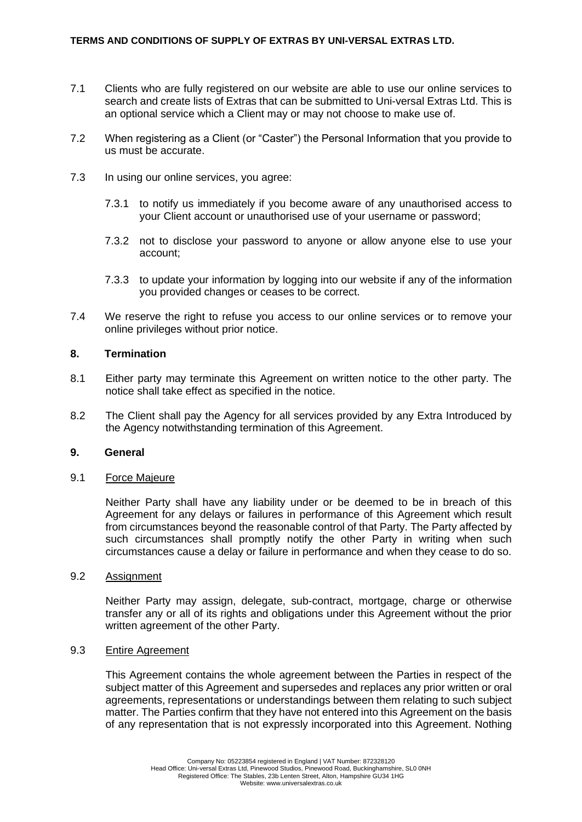- 7.1 Clients who are fully registered on our website are able to use our online services to search and create lists of Extras that can be submitted to Uni-versal Extras Ltd. This is an optional service which a Client may or may not choose to make use of.
- 7.2 When registering as a Client (or "Caster") the Personal Information that you provide to us must be accurate.
- 7.3 In using our online services, you agree:
	- 7.3.1 to notify us immediately if you become aware of any unauthorised access to your Client account or unauthorised use of your username or password;
	- 7.3.2 not to disclose your password to anyone or allow anyone else to use your account;
	- 7.3.3 to update your information by logging into our website if any of the information you provided changes or ceases to be correct.
- 7.4 We reserve the right to refuse you access to our online services or to remove your online privileges without prior notice.

#### **8. Termination**

- 8.1 Either party may terminate this Agreement on written notice to the other party. The notice shall take effect as specified in the notice.
- 8.2 The Client shall pay the Agency for all services provided by any Extra Introduced by the Agency notwithstanding termination of this Agreement.

#### **9. General**

#### 9.1 Force Majeure

Neither Party shall have any liability under or be deemed to be in breach of this Agreement for any delays or failures in performance of this Agreement which result from circumstances beyond the reasonable control of that Party. The Party affected by such circumstances shall promptly notify the other Party in writing when such circumstances cause a delay or failure in performance and when they cease to do so.

#### 9.2 Assignment

Neither Party may assign, delegate, sub-contract, mortgage, charge or otherwise transfer any or all of its rights and obligations under this Agreement without the prior written agreement of the other Party.

## 9.3 Entire Agreement

This Agreement contains the whole agreement between the Parties in respect of the subject matter of this Agreement and supersedes and replaces any prior written or oral agreements, representations or understandings between them relating to such subject matter. The Parties confirm that they have not entered into this Agreement on the basis of any representation that is not expressly incorporated into this Agreement. Nothing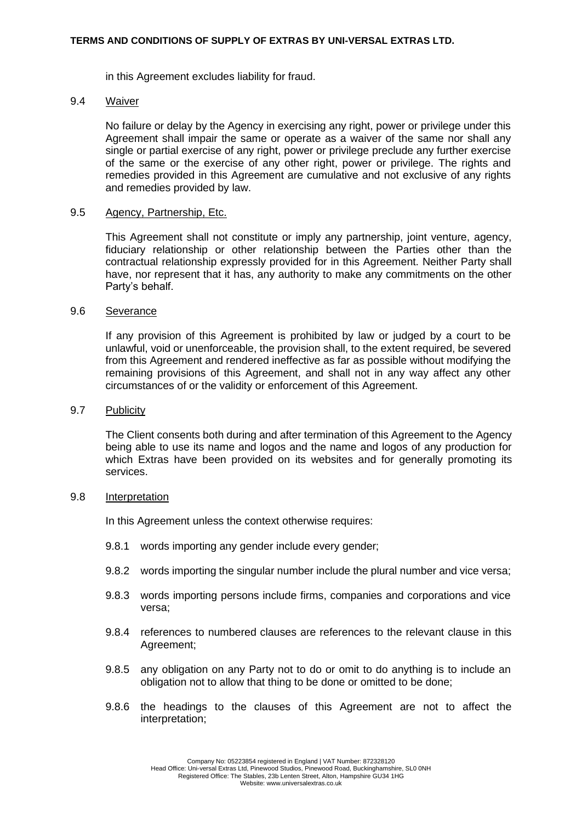#### **TERMS AND CONDITIONS OF SUPPLY OF EXTRAS BY UNI-VERSAL EXTRAS LTD.**

in this Agreement excludes liability for fraud.

#### 9.4 Waiver

No failure or delay by the Agency in exercising any right, power or privilege under this Agreement shall impair the same or operate as a waiver of the same nor shall any single or partial exercise of any right, power or privilege preclude any further exercise of the same or the exercise of any other right, power or privilege. The rights and remedies provided in this Agreement are cumulative and not exclusive of any rights and remedies provided by law.

#### 9.5 Agency, Partnership, Etc.

This Agreement shall not constitute or imply any partnership, joint venture, agency, fiduciary relationship or other relationship between the Parties other than the contractual relationship expressly provided for in this Agreement. Neither Party shall have, nor represent that it has, any authority to make any commitments on the other Party's behalf.

#### 9.6 Severance

If any provision of this Agreement is prohibited by law or judged by a court to be unlawful, void or unenforceable, the provision shall, to the extent required, be severed from this Agreement and rendered ineffective as far as possible without modifying the remaining provisions of this Agreement, and shall not in any way affect any other circumstances of or the validity or enforcement of this Agreement.

#### 9.7 Publicity

The Client consents both during and after termination of this Agreement to the Agency being able to use its name and logos and the name and logos of any production for which Extras have been provided on its websites and for generally promoting its services.

## 9.8 Interpretation

In this Agreement unless the context otherwise requires:

- 9.8.1 words importing any gender include every gender;
- 9.8.2 words importing the singular number include the plural number and vice versa;
- 9.8.3 words importing persons include firms, companies and corporations and vice versa;
- 9.8.4 references to numbered clauses are references to the relevant clause in this Agreement;
- 9.8.5 any obligation on any Party not to do or omit to do anything is to include an obligation not to allow that thing to be done or omitted to be done;
- 9.8.6 the headings to the clauses of this Agreement are not to affect the interpretation;